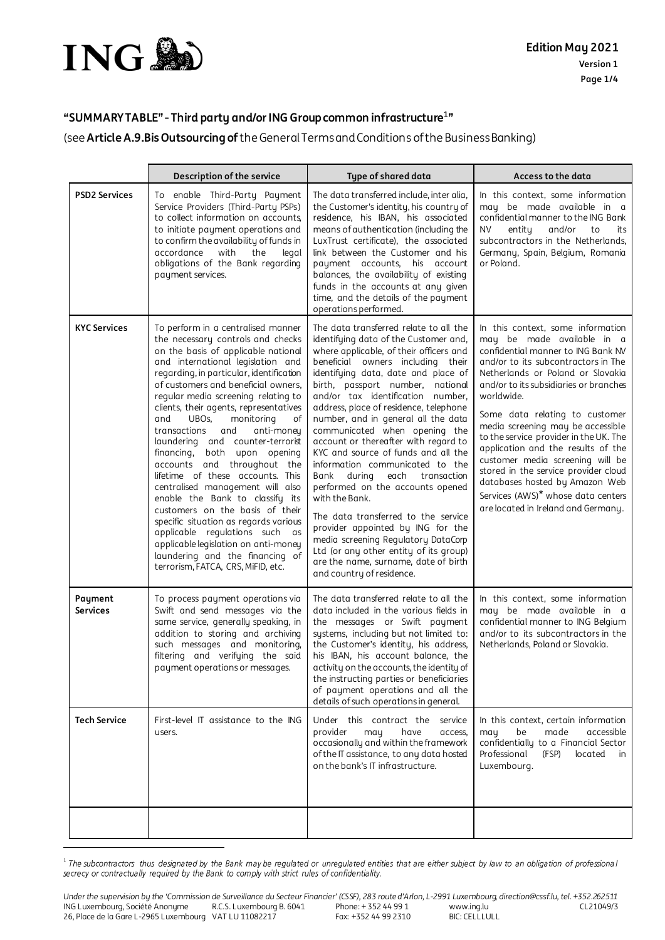

.

## **"SUMMARY TABLE" - Third party and/orING Group common infrastructure<sup>1</sup> "**

(see **ArticleA.9.Bis Outsourcing of** the General Terms and Conditions of the Business Banking)

|                            | Description of the service                                                                                                                                                                                                                                                                                                                                                                                                                                                                                                                                                                                                                                                                                                                                                                                                                          | Type of shared data                                                                                                                                                                                                                                                                                                                                                                                                                                                                                                                                                                                                                                                                                                                                                                                                                            | Access to the data                                                                                                                                                                                                                                                                                                                                                                                                                                                                                                                                                                                      |
|----------------------------|-----------------------------------------------------------------------------------------------------------------------------------------------------------------------------------------------------------------------------------------------------------------------------------------------------------------------------------------------------------------------------------------------------------------------------------------------------------------------------------------------------------------------------------------------------------------------------------------------------------------------------------------------------------------------------------------------------------------------------------------------------------------------------------------------------------------------------------------------------|------------------------------------------------------------------------------------------------------------------------------------------------------------------------------------------------------------------------------------------------------------------------------------------------------------------------------------------------------------------------------------------------------------------------------------------------------------------------------------------------------------------------------------------------------------------------------------------------------------------------------------------------------------------------------------------------------------------------------------------------------------------------------------------------------------------------------------------------|---------------------------------------------------------------------------------------------------------------------------------------------------------------------------------------------------------------------------------------------------------------------------------------------------------------------------------------------------------------------------------------------------------------------------------------------------------------------------------------------------------------------------------------------------------------------------------------------------------|
| <b>PSD2 Services</b>       | To enable Third-Party Payment<br>Service Providers (Third-Party PSPs)<br>to collect information on accounts<br>to initiate payment operations and<br>to confirm the availability of funds in<br>accordance<br>with<br>the<br>legal<br>obligations of the Bank regarding<br>payment services.                                                                                                                                                                                                                                                                                                                                                                                                                                                                                                                                                        | The data transferred include, inter alia,<br>the Customer's identity, his country of<br>residence, his IBAN, his associated<br>means of authentication (including the<br>LuxTrust certificate), the associated<br>link between the Customer and his<br>payment accounts, his account<br>balances, the availability of existing<br>funds in the accounts at any given<br>time, and the details of the payment<br>operations performed.                                                                                                                                                                                                                                                                                                                                                                                                          | In this context, some information<br>may be made available in a<br>confidential manner to the ING Bank<br><b>NV</b><br>entity<br>and/or<br>to<br>its<br>subcontractors in the Netherlands,<br>Germany, Spain, Belgium, Romania<br>or Poland.                                                                                                                                                                                                                                                                                                                                                            |
| <b>KYC Services</b>        | To perform in a centralised manner<br>the necessary controls and checks<br>on the basis of applicable national<br>and international legislation and<br>regarding, in particular, identification<br>of customers and beneficial owners,<br>regular media screening relating to<br>clients, their agents, representatives<br>monitoring<br>and<br>UBOs,<br>оf<br>transactions<br>and<br>anti-money<br>laundering and counter-terrorist<br>financing,<br>both upon opening<br>accounts and throughout the<br>lifetime of these accounts. This<br>centralised management will also<br>enable the Bank to classify its<br>customers on the basis of their<br>specific situation as regards various<br>applicable regulations such<br>as<br>applicable legislation on anti-money<br>laundering and the financing of<br>terrorism, FATCA, CRS, MiFID, etc. | The data transferred relate to all the<br>identifying data of the Customer and,<br>where applicable, of their officers and<br>beneficial owners including their<br>identifying data, date and place of<br>birth, passport number, national<br>and/or tax identification number,<br>address, place of residence, telephone<br>number, and in general all the data<br>communicated when opening the<br>account or thereafter with regard to<br>KYC and source of funds and all the<br>information communicated to the<br>Bank during<br>each transaction<br>performed on the accounts opened<br>with the Bank.<br>The data transferred to the service<br>provider appointed by ING for the<br>media screening Regulatory DataCorp<br>Ltd (or any other entity of its group)<br>are the name, surname, date of birth<br>and country of residence. | In this context, some information<br>may be made available in a<br>confidential manner to ING Bank NV<br>and/or to its subcontractors in The<br>Netherlands or Poland or Slovakia<br>and/or to its subsidiaries or branches<br>worldwide.<br>Some data relating to customer<br>media screening may be accessible<br>to the service provider in the UK. The<br>application and the results of the<br>customer media screening will be<br>stored in the service provider cloud<br>databases hosted by Amazon Web<br>Services (AWS) <sup>*</sup> whose data centers<br>are located in Ireland and Germany. |
| Payment<br><b>Services</b> | To process payment operations via<br>Swift and send messages via the<br>same service, generally speaking, in<br>addition to storing and archiving<br>such messages and monitoring,<br>filtering and verifying the said<br>payment operations or messages.                                                                                                                                                                                                                                                                                                                                                                                                                                                                                                                                                                                           | The data transferred relate to all the<br>data included in the various fields in<br>the messages or Swift payment<br>systems, including but not limited to:<br>the Customer's identity, his address,<br>his IBAN, his account balance, the<br>activity on the accounts, the identity of<br>the instructing parties or beneficiaries<br>of payment operations and all the<br>details of such operations in general.                                                                                                                                                                                                                                                                                                                                                                                                                             | In this context, some information<br>may be made available in a<br>confidential manner to ING Belgium<br>and/or to its subcontractors in the<br>Netherlands, Poland or Slovakia.                                                                                                                                                                                                                                                                                                                                                                                                                        |
| <b>Tech Service</b>        | First-level IT assistance to the ING<br>users.                                                                                                                                                                                                                                                                                                                                                                                                                                                                                                                                                                                                                                                                                                                                                                                                      | Under this contract the<br>service<br>provider<br>may<br>have<br>access.<br>occasionally and within the framework<br>of the IT assistance, to any data hosted<br>on the bank's IT infrastructure.                                                                                                                                                                                                                                                                                                                                                                                                                                                                                                                                                                                                                                              | In this context, certain information<br>be<br>accessible<br>may<br>made<br>confidentially to a Financial Sector<br>Professional<br>located<br>(FSP)<br>in<br>Luxembourg.                                                                                                                                                                                                                                                                                                                                                                                                                                |
|                            |                                                                                                                                                                                                                                                                                                                                                                                                                                                                                                                                                                                                                                                                                                                                                                                                                                                     |                                                                                                                                                                                                                                                                                                                                                                                                                                                                                                                                                                                                                                                                                                                                                                                                                                                |                                                                                                                                                                                                                                                                                                                                                                                                                                                                                                                                                                                                         |

<sup>&</sup>lt;sup>1</sup> The subcontractors thus designated by the Bank may be regulated or unregulated entities that are either subject by law to an obligation of professional secrecy or contractually required by the Bank to comply with strict rules of confidentiality.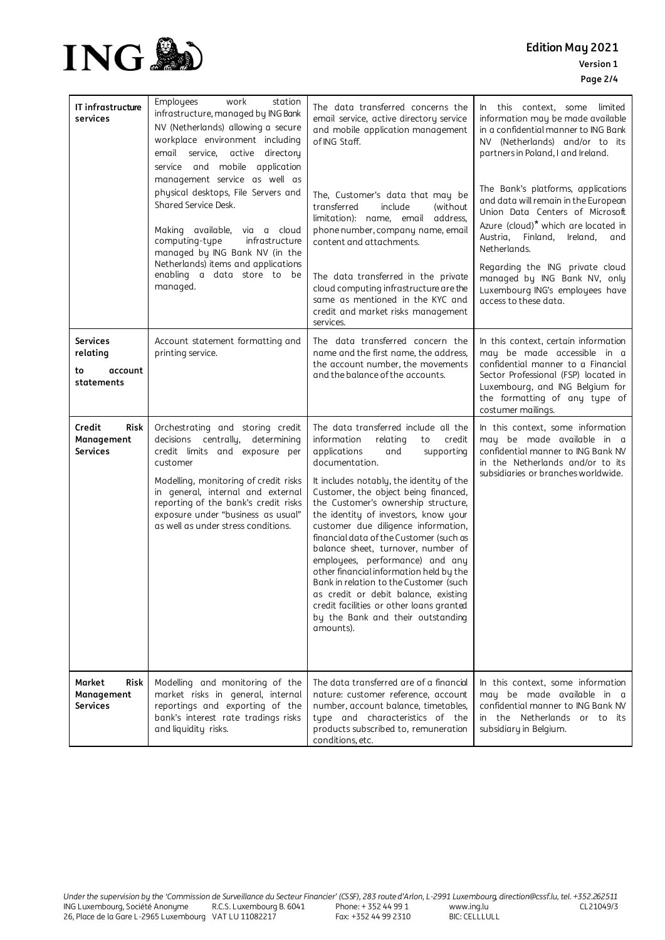

| IT infrastructure<br>services                              | Employees<br>work<br>station<br>infrastructure, managed by ING Bank<br>NV (Netherlands) allowing a secure<br>workplace environment including<br>service, active directory<br>email<br>service and mobile application<br>management service as well as<br>physical desktops, File Servers and<br>Shared Service Desk.<br>Making available, via a cloud<br>computing-type<br>infrastructure<br>managed by ING Bank NV (in the<br>Netherlands) items and applications<br>enabling a data store to be<br>managed. | The data transferred concerns the<br>email service, active directory service<br>and mobile application management<br>of ING Staff.<br>The, Customer's data that may be<br>transferred<br>include<br>(without)<br>limitation): name, email address,<br>phone number, company name, email<br>content and attachments.<br>The data transferred in the private<br>cloud computing infrastructure are the<br>same as mentioned in the KYC and<br>credit and market risks management<br>services.                                                                                                                                                                                                     | In this context, some<br>limited<br>information may be made available<br>in a confidential manner to ING Bank<br>NV (Netherlands) and/or to its<br>partners in Poland, I and Ireland.<br>The Bank's platforms, applications<br>and data will remain in the European<br>Union Data Centers of Microsoft<br>Azure (cloud) <sup>*</sup> which are located in<br>Austria, Finland, Ireland,<br>and<br>Netherlands.<br>Regarding the ING private cloud<br>managed by ING Bank NV, only<br>Luxembourg ING's employees have<br>access to these data. |
|------------------------------------------------------------|---------------------------------------------------------------------------------------------------------------------------------------------------------------------------------------------------------------------------------------------------------------------------------------------------------------------------------------------------------------------------------------------------------------------------------------------------------------------------------------------------------------|-------------------------------------------------------------------------------------------------------------------------------------------------------------------------------------------------------------------------------------------------------------------------------------------------------------------------------------------------------------------------------------------------------------------------------------------------------------------------------------------------------------------------------------------------------------------------------------------------------------------------------------------------------------------------------------------------|-----------------------------------------------------------------------------------------------------------------------------------------------------------------------------------------------------------------------------------------------------------------------------------------------------------------------------------------------------------------------------------------------------------------------------------------------------------------------------------------------------------------------------------------------|
| <b>Services</b><br>relating<br>account<br>to<br>statements | Account statement formatting and<br>printing service.                                                                                                                                                                                                                                                                                                                                                                                                                                                         | The data transferred concern the<br>name and the first name, the address,<br>the account number, the movements<br>and the balance of the accounts.                                                                                                                                                                                                                                                                                                                                                                                                                                                                                                                                              | In this context, certain information<br>may be made accessible in a<br>confidential manner to a Financial<br>Sector Professional (FSP) located in<br>Luxembourg, and ING Belgium for<br>the formatting of any type of<br>costumer mailings.                                                                                                                                                                                                                                                                                                   |
| Credit<br>Risk<br>Management<br><b>Services</b>            | Orchestrating and storing credit<br>decisions centrally, determining<br>credit limits and exposure per<br>customer<br>Modelling, monitoring of credit risks<br>in general, internal and external<br>reporting of the bank's credit risks<br>exposure under "business as usual"<br>as well as under stress conditions.                                                                                                                                                                                         | The data transferred include all the<br>information<br>relating<br>credit<br>to<br>applications<br>and<br>supporting<br>documentation.<br>It includes notably, the identity of the<br>Customer, the object being financed,<br>the Customer's ownership structure,<br>the identity of investors, know your<br>customer due diligence information,<br>financial data of the Customer (such as<br>balance sheet, turnover, number of<br>employees, performance) and any<br>other financial information held by the<br>Bank in relation to the Customer (such<br>as credit or debit balance, existing<br>credit facilities or other loans granted<br>by the Bank and their outstanding<br>amounts). | In this context, some information<br>may be made available in a<br>confidential manner to ING Bank NV<br>in the Netherlands and/or to its<br>subsidiaries or branches worldwide.                                                                                                                                                                                                                                                                                                                                                              |
| Market<br>Risk<br>Management<br><b>Services</b>            | Modelling and monitoring of the<br>market risks in general, internal<br>reportings and exporting of the<br>bank's interest rate tradings risks<br>and liquidity risks.                                                                                                                                                                                                                                                                                                                                        | The data transferred are of a financial<br>nature: customer reference, account<br>number, account balance, timetables,<br>type and characteristics of the<br>products subscribed to, remuneration<br>conditions, etc.                                                                                                                                                                                                                                                                                                                                                                                                                                                                           | In this context, some information<br>may be made available in a<br>confidential manner to ING Bank NV<br>in the Netherlands or to its<br>subsidiary in Belgium.                                                                                                                                                                                                                                                                                                                                                                               |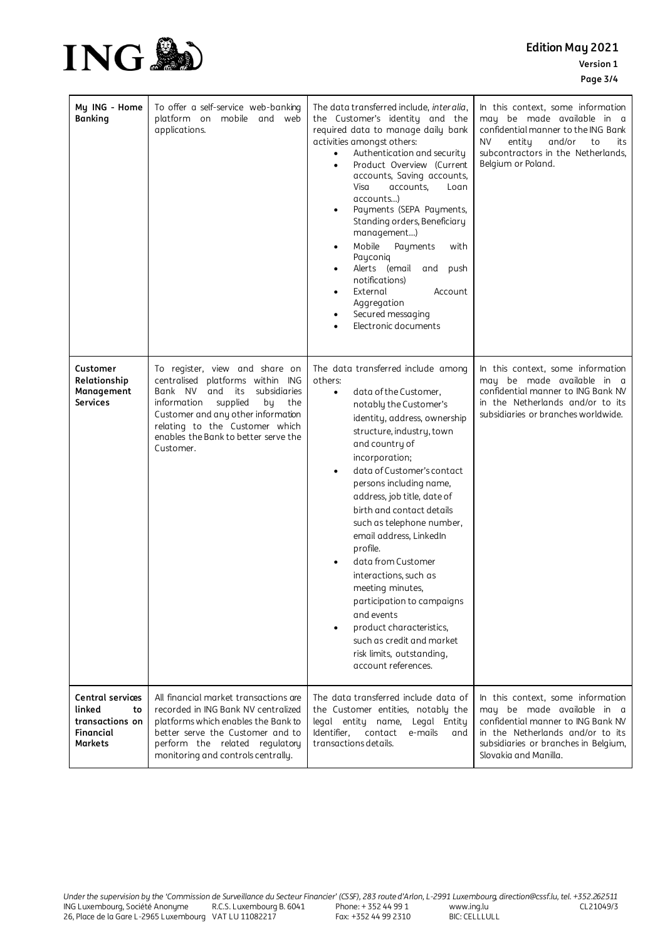**Edition May 2021 Version 1 Page 3/4**



| My ING - Home<br><b>Banking</b>                                                    | To offer a self-service web-banking<br>platform on mobile and web<br>applications.                                                                                                                                                                                         | The data transferred include, interalia,<br>the Customer's identity and the<br>required data to manage daily bank<br>activities amongst others:<br>Authentication and security<br>$\bullet$<br>Product Overview (Current<br>accounts, Saving accounts,<br>Visa<br>accounts,<br>Loan<br>accounts)<br>Payments (SEPA Payments,<br>Standing orders, Beneficiary<br>management)<br>Mobile<br>Payments<br>with<br>$\bullet$<br>Payconiq<br>Alerts (email<br>and<br>push<br>٠<br>notifications)<br>External<br>Account<br>٠<br>Aggregation<br>Secured messaging<br>$\bullet$<br>Electronic documents                                                        | In this context, some information<br>may be made available in a<br>confidential manner to the ING Bank<br>NV.<br>entity<br>and/or<br>to<br>its<br>subcontractors in the Netherlands,<br>Belgium or Poland. |
|------------------------------------------------------------------------------------|----------------------------------------------------------------------------------------------------------------------------------------------------------------------------------------------------------------------------------------------------------------------------|-------------------------------------------------------------------------------------------------------------------------------------------------------------------------------------------------------------------------------------------------------------------------------------------------------------------------------------------------------------------------------------------------------------------------------------------------------------------------------------------------------------------------------------------------------------------------------------------------------------------------------------------------------|------------------------------------------------------------------------------------------------------------------------------------------------------------------------------------------------------------|
| Customer<br>Relationship<br>Management<br><b>Services</b>                          | To register, view and share on<br>centralised platforms within ING<br>Bank NV<br>and its<br>subsidiaries<br>information supplied<br>by<br>the<br>Customer and any other information<br>relating to the Customer which<br>enables the Bank to better serve the<br>Customer. | The data transferred include among<br>others:<br>data of the Customer,<br>$\bullet$<br>notably the Customer's<br>identity, address, ownership<br>structure, industry, town<br>and country of<br>incorporation;<br>data of Customer's contact<br>٠<br>persons including name,<br>address, job title, date of<br>birth and contact details<br>such as telephone number,<br>email address, LinkedIn<br>profile.<br>data from Customer<br>$\bullet$<br>interactions, such as<br>meeting minutes,<br>participation to campaigns<br>and events<br>product characteristics,<br>such as credit and market<br>risk limits, outstanding,<br>account references. | In this context, some information<br>may be made available in a<br>confidential manner to ING Bank NV<br>in the Netherlands and/or to its<br>subsidiaries or branches worldwide.                           |
| Central services<br>linked<br>to<br>transactions on<br>Financial<br><b>Markets</b> | All financial market transactions are<br>recorded in ING Bank NV centralized<br>platforms which enables the Bank to<br>better serve the Customer and to<br>perform the related regulatory<br>monitoring and controls centrally.                                            | The data transferred include data of<br>the Customer entities, notably the<br>legal entity name,<br>Legal Entity<br>Identifier.<br>contact e-mails<br>and<br>transactions details.                                                                                                                                                                                                                                                                                                                                                                                                                                                                    | In this context, some information<br>may be made available in a<br>confidential manner to ING Bank NV<br>in the Netherlands and/or to its<br>subsidiaries or branches in Belgium,<br>Slovakia and Manilla. |